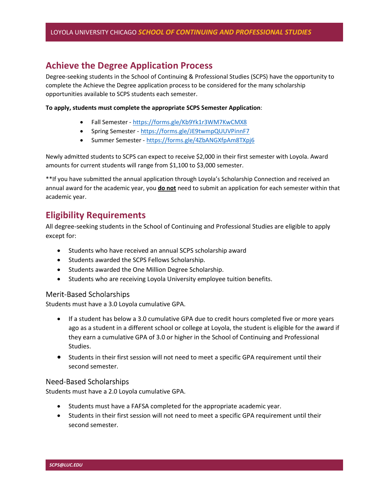# Achieve the Degree Application Process

Degree-seeking students in the School of Continuing & Professional Studies (SCPS) have the opportunity to complete the Achieve the Degree application process to be considered for the many scholarship opportunities available to SCPS students each semester.

To apply, students must complete the appropriate SCPS Semester Application:

- Fall Semester https://forms.gle/Kb9Yk1r3WM7KwCMX8
- Spring Semester https://forms.gle/JE9twmpQUUVPinnF7
- Summer Semester https://forms.gle/4ZbANGXfpAm8TXpj6

Newly admitted students to SCPS can expect to receive \$2,000 in their first semester with Loyola. Award amounts for current students will range from \$1,100 to \$3,000 semester.

\*\*If you have submitted the annual application through Loyola's Scholarship Connection and received an annual award for the academic year, you do not need to submit an application for each semester within that academic year.

# Eligibility Requirements

All degree-seeking students in the School of Continuing and Professional Studies are eligible to apply except for:

- Students who have received an annual SCPS scholarship award
- **•** Students awarded the SCPS Fellows Scholarship.
- Students awarded the One Million Degree Scholarship.
- Students who are receiving Loyola University employee tuition benefits.

#### Merit-Based Scholarships

Students must have a 3.0 Loyola cumulative GPA.

- If a student has below a 3.0 cumulative GPA due to credit hours completed five or more years ago as a student in a different school or college at Loyola, the student is eligible for the award if they earn a cumulative GPA of 3.0 or higher in the School of Continuing and Professional Studies.
- Students in their first session will not need to meet a specific GPA requirement until their second semester.

#### Need-Based Scholarships

Students must have a 2.0 Loyola cumulative GPA.

- Students must have a FAFSA completed for the appropriate academic year.
- Students in their first session will not need to meet a specific GPA requirement until their second semester.